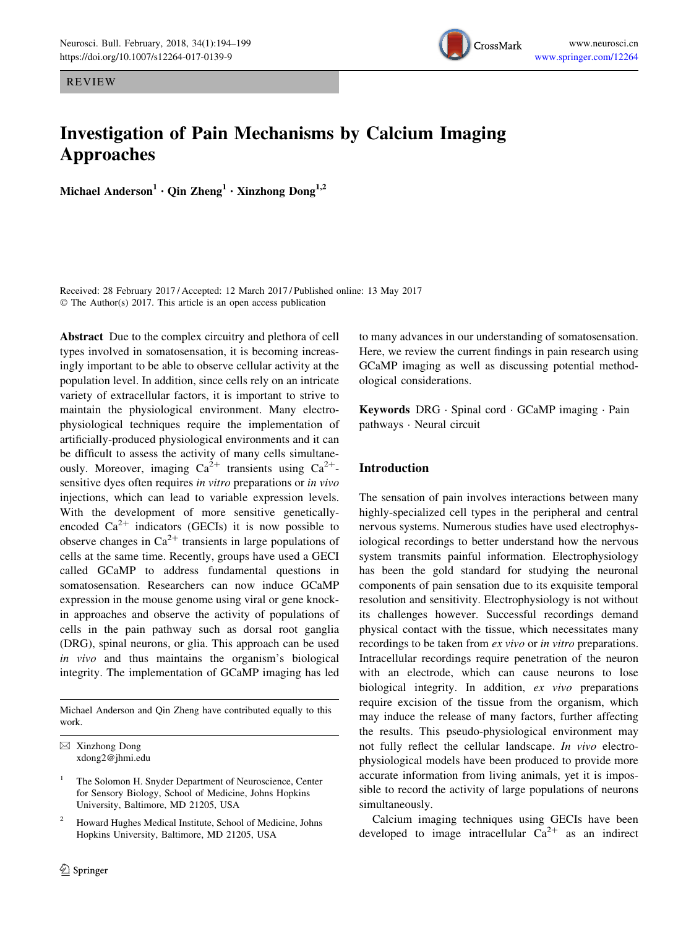REVIEW

# Investigation of Pain Mechanisms by Calcium Imaging Approaches

Michael Anderson<sup>1</sup> · Qin Zheng<sup>1</sup> · Xinzhong Dong<sup>1,2</sup>

Received: 28 February 2017 / Accepted: 12 March 2017 / Published online: 13 May 2017 © The Author(s) 2017. This article is an open access publication

Abstract Due to the complex circuitry and plethora of cell types involved in somatosensation, it is becoming increasingly important to be able to observe cellular activity at the population level. In addition, since cells rely on an intricate variety of extracellular factors, it is important to strive to maintain the physiological environment. Many electrophysiological techniques require the implementation of artificially-produced physiological environments and it can be difficult to assess the activity of many cells simultaneously. Moreover, imaging  $Ca^{2+}$  transients using  $Ca^{2+}$ sensitive dyes often requires in vitro preparations or in vivo injections, which can lead to variable expression levels. With the development of more sensitive geneticallyencoded  $Ca^{2+}$  indicators (GECIs) it is now possible to observe changes in  $Ca^{2+}$  transients in large populations of cells at the same time. Recently, groups have used a GECI called GCaMP to address fundamental questions in somatosensation. Researchers can now induce GCaMP expression in the mouse genome using viral or gene knockin approaches and observe the activity of populations of cells in the pain pathway such as dorsal root ganglia (DRG), spinal neurons, or glia. This approach can be used in vivo and thus maintains the organism's biological integrity. The implementation of GCaMP imaging has led

Michael Anderson and Qin Zheng have contributed equally to this work.

 $\boxtimes$  Xinzhong Dong xdong2@jhmi.edu

<sup>2</sup> Howard Hughes Medical Institute, School of Medicine, Johns Hopkins University, Baltimore, MD 21205, USA

to many advances in our understanding of somatosensation. Here, we review the current findings in pain research using GCaMP imaging as well as discussing potential methodological considerations.

Keywords DRG - Spinal cord - GCaMP imaging - Pain pathways - Neural circuit

# Introduction

The sensation of pain involves interactions between many highly-specialized cell types in the peripheral and central nervous systems. Numerous studies have used electrophysiological recordings to better understand how the nervous system transmits painful information. Electrophysiology has been the gold standard for studying the neuronal components of pain sensation due to its exquisite temporal resolution and sensitivity. Electrophysiology is not without its challenges however. Successful recordings demand physical contact with the tissue, which necessitates many recordings to be taken from *ex vivo* or *in vitro* preparations. Intracellular recordings require penetration of the neuron with an electrode, which can cause neurons to lose biological integrity. In addition, ex vivo preparations require excision of the tissue from the organism, which may induce the release of many factors, further affecting the results. This pseudo-physiological environment may not fully reflect the cellular landscape. In vivo electrophysiological models have been produced to provide more accurate information from living animals, yet it is impossible to record the activity of large populations of neurons simultaneously.

Calcium imaging techniques using GECIs have been developed to image intracellular  $Ca^{2+}$  as an indirect



The Solomon H. Snyder Department of Neuroscience, Center for Sensory Biology, School of Medicine, Johns Hopkins University, Baltimore, MD 21205, USA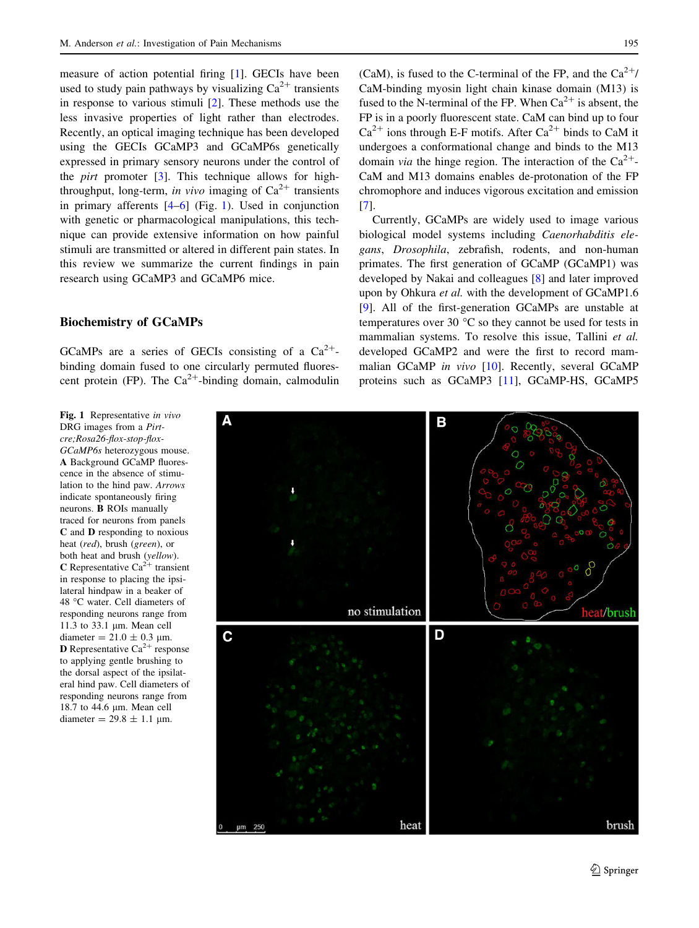measure of action potential firing [[1\]](#page-4-0). GECIs have been used to study pain pathways by visualizing  $Ca^{2+}$  transients in response to various stimuli [\[2](#page-4-0)]. These methods use the less invasive properties of light rather than electrodes. Recently, an optical imaging technique has been developed using the GECIs GCaMP3 and GCaMP6s genetically expressed in primary sensory neurons under the control of the *pirt* promoter  $\lceil 3 \rceil$ . This technique allows for highthroughput, long-term, in vivo imaging of  $Ca^{2+}$  transients in primary afferents [\[4–6](#page-4-0)] (Fig. 1). Used in conjunction with genetic or pharmacological manipulations, this technique can provide extensive information on how painful stimuli are transmitted or altered in different pain states. In this review we summarize the current findings in pain research using GCaMP3 and GCaMP6 mice.

#### Biochemistry of GCaMPs

GCaMPs are a series of GECIs consisting of a  $Ca^{2+}$ binding domain fused to one circularly permuted fluorescent protein (FP). The  $Ca^{2+}$ -binding domain, calmodulin (CaM), is fused to the C-terminal of the FP, and the  $Ca^{2+}/$ CaM-binding myosin light chain kinase domain (M13) is fused to the N-terminal of the FP. When  $Ca^{2+}$  is absent, the FP is in a poorly fluorescent state. CaM can bind up to four  $Ca^{2+}$  ions through E-F motifs. After  $Ca^{2+}$  binds to CaM it undergoes a conformational change and binds to the M13 domain *via* the hinge region. The interaction of the  $Ca^{2+}$ -CaM and M13 domains enables de-protonation of the FP chromophore and induces vigorous excitation and emission [\[7](#page-4-0)].

Currently, GCaMPs are widely used to image various biological model systems including Caenorhabditis elegans, Drosophila, zebrafish, rodents, and non-human primates. The first generation of GCaMP (GCaMP1) was developed by Nakai and colleagues [\[8](#page-4-0)] and later improved upon by Ohkura et al. with the development of GCaMP1.6 [\[9](#page-4-0)]. All of the first-generation GCaMPs are unstable at temperatures over 30  $\degree$ C so they cannot be used for tests in mammalian systems. To resolve this issue, Tallini et al. developed GCaMP2 and were the first to record mammalian GCaMP in vivo [\[10](#page-4-0)]. Recently, several GCaMP proteins such as GCaMP3 [\[11](#page-4-0)], GCaMP-HS, GCaMP5



Fig. 1 Representative in vivo DRG images from a Pirtcre;Rosa26-flox-stop-flox-GCaMP6s heterozygous mouse. A Background GCaMP fluorescence in the absence of stimulation to the hind paw. Arrows indicate spontaneously firing neurons. B ROIs manually traced for neurons from panels C and D responding to noxious heat (red), brush (green), or both heat and brush (yellow). C Representative  $Ca^{2+}$  transient in response to placing the ipsilateral hindpaw in a beaker of 48 °C water. Cell diameters of responding neurons range from  $11.3$  to  $33.1$   $\mu$ m. Mean cell diameter  $= 21.0 \pm 0.3$  µm. **D** Representative  $Ca^{2+}$  response to applying gentle brushing to the dorsal aspect of the ipsilateral hind paw. Cell diameters of responding neurons range from 18.7 to  $44.6 \mu m$ . Mean cell diameter =  $29.8 \pm 1.1$  µm.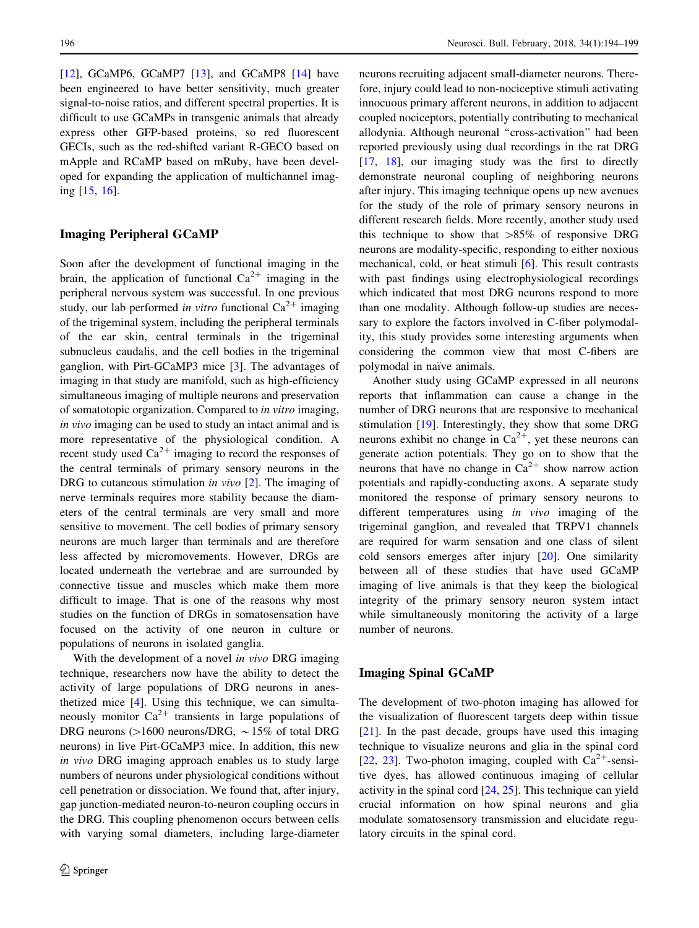[\[12](#page-4-0)], GCaMP6, GCaMP7 [\[13\]](#page-4-0), and GCaMP8 [[14\]](#page-4-0) have been engineered to have better sensitivity, much greater signal-to-noise ratios, and different spectral properties. It is difficult to use GCaMPs in transgenic animals that already express other GFP-based proteins, so red fluorescent GECIs, such as the red-shifted variant R-GECO based on mApple and RCaMP based on mRuby, have been developed for expanding the application of multichannel imaging [\[15](#page-4-0), [16](#page-4-0)].

# Imaging Peripheral GCaMP

Soon after the development of functional imaging in the brain, the application of functional  $Ca^{2+}$  imaging in the peripheral nervous system was successful. In one previous study, our lab performed in vitro functional  $Ca^{2+}$  imaging of the trigeminal system, including the peripheral terminals of the ear skin, central terminals in the trigeminal subnucleus caudalis, and the cell bodies in the trigeminal ganglion, with Pirt-GCaMP3 mice [\[3](#page-4-0)]. The advantages of imaging in that study are manifold, such as high-efficiency simultaneous imaging of multiple neurons and preservation of somatotopic organization. Compared to in vitro imaging, in vivo imaging can be used to study an intact animal and is more representative of the physiological condition. A recent study used  $Ca^{2+}$  imaging to record the responses of the central terminals of primary sensory neurons in the DRG to cutaneous stimulation in vivo  $[2]$  $[2]$ . The imaging of nerve terminals requires more stability because the diameters of the central terminals are very small and more sensitive to movement. The cell bodies of primary sensory neurons are much larger than terminals and are therefore less affected by micromovements. However, DRGs are located underneath the vertebrae and are surrounded by connective tissue and muscles which make them more difficult to image. That is one of the reasons why most studies on the function of DRGs in somatosensation have focused on the activity of one neuron in culture or populations of neurons in isolated ganglia.

With the development of a novel in vivo DRG imaging technique, researchers now have the ability to detect the activity of large populations of DRG neurons in anesthetized mice [\[4](#page-4-0)]. Using this technique, we can simultaneously monitor  $Ca^{2+}$  transients in large populations of DRG neurons ( $>1600$  neurons/DRG,  $\sim 15\%$  of total DRG neurons) in live Pirt-GCaMP3 mice. In addition, this new in vivo DRG imaging approach enables us to study large numbers of neurons under physiological conditions without cell penetration or dissociation. We found that, after injury, gap junction-mediated neuron-to-neuron coupling occurs in the DRG. This coupling phenomenon occurs between cells with varying somal diameters, including large-diameter neurons recruiting adjacent small-diameter neurons. Therefore, injury could lead to non-nociceptive stimuli activating innocuous primary afferent neurons, in addition to adjacent coupled nociceptors, potentially contributing to mechanical allodynia. Although neuronal ''cross-activation'' had been reported previously using dual recordings in the rat DRG [\[17](#page-5-0), [18](#page-5-0)], our imaging study was the first to directly demonstrate neuronal coupling of neighboring neurons after injury. This imaging technique opens up new avenues for the study of the role of primary sensory neurons in different research fields. More recently, another study used this technique to show that  $>85\%$  of responsive DRG neurons are modality-specific, responding to either noxious mechanical, cold, or heat stimuli [[6\]](#page-4-0). This result contrasts with past findings using electrophysiological recordings which indicated that most DRG neurons respond to more than one modality. Although follow-up studies are necessary to explore the factors involved in C-fiber polymodality, this study provides some interesting arguments when considering the common view that most C-fibers are polymodal in naïve animals.

Another study using GCaMP expressed in all neurons reports that inflammation can cause a change in the number of DRG neurons that are responsive to mechanical stimulation [\[19](#page-5-0)]. Interestingly, they show that some DRG neurons exhibit no change in  $Ca^{2+}$ , yet these neurons can generate action potentials. They go on to show that the neurons that have no change in  $Ca^{2+}$  show narrow action potentials and rapidly-conducting axons. A separate study monitored the response of primary sensory neurons to different temperatures using in vivo imaging of the trigeminal ganglion, and revealed that TRPV1 channels are required for warm sensation and one class of silent cold sensors emerges after injury [\[20](#page-5-0)]. One similarity between all of these studies that have used GCaMP imaging of live animals is that they keep the biological integrity of the primary sensory neuron system intact while simultaneously monitoring the activity of a large number of neurons.

#### Imaging Spinal GCaMP

The development of two-photon imaging has allowed for the visualization of fluorescent targets deep within tissue [\[21](#page-5-0)]. In the past decade, groups have used this imaging technique to visualize neurons and glia in the spinal cord [\[22](#page-5-0), [23](#page-5-0)]. Two-photon imaging, coupled with  $Ca^{2+}$ -sensitive dyes, has allowed continuous imaging of cellular activity in the spinal cord [\[24](#page-5-0), [25](#page-5-0)]. This technique can yield crucial information on how spinal neurons and glia modulate somatosensory transmission and elucidate regulatory circuits in the spinal cord.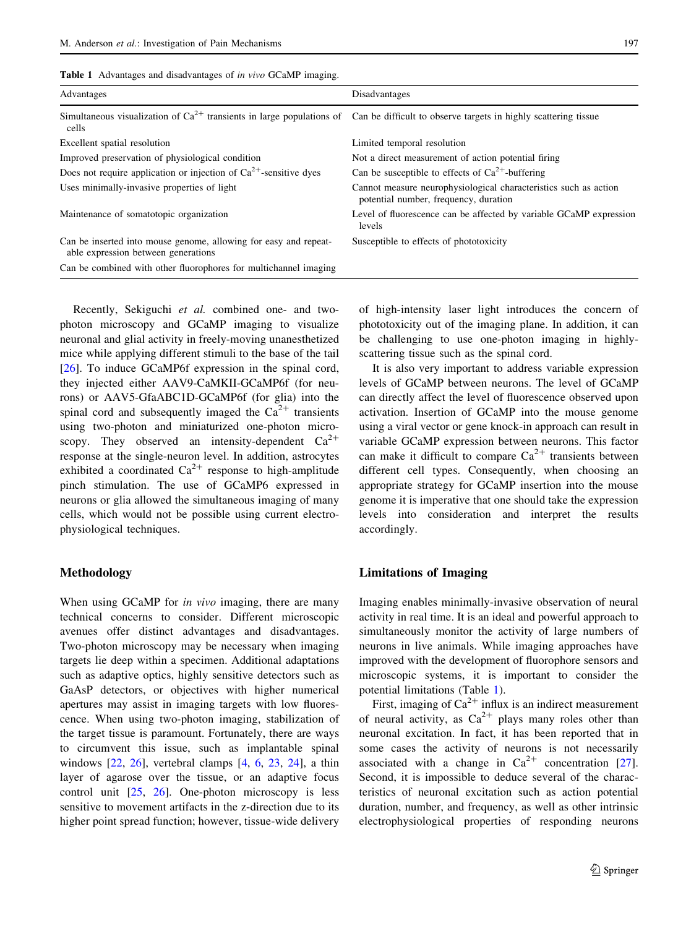|  |  | Table 1 Advantages and disadvantages of in vivo GCaMP imaging. |  |  |
|--|--|----------------------------------------------------------------|--|--|
|--|--|----------------------------------------------------------------|--|--|

| Advantages                                                                                                                                          | Disadvantages                                                                                             |
|-----------------------------------------------------------------------------------------------------------------------------------------------------|-----------------------------------------------------------------------------------------------------------|
| Simultaneous visualization of $Ca^{2+}$ transients in large populations of Can be difficult to observe targets in highly scattering tissue<br>cells |                                                                                                           |
| Excellent spatial resolution                                                                                                                        | Limited temporal resolution                                                                               |
| Improved preservation of physiological condition                                                                                                    | Not a direct measurement of action potential firing                                                       |
| Does not require application or injection of $Ca^{2+}$ -sensitive dyes                                                                              | Can be susceptible to effects of $Ca^{2+}$ -buffering                                                     |
| Uses minimally-invasive properties of light                                                                                                         | Cannot measure neurophysiological characteristics such as action<br>potential number, frequency, duration |
| Maintenance of somatotopic organization                                                                                                             | Level of fluorescence can be affected by variable GCaMP expression<br><i>levels</i>                       |
| Can be inserted into mouse genome, allowing for easy and repeat-<br>able expression between generations                                             | Susceptible to effects of phototoxicity                                                                   |
| Can be combined with other fluorophores for multichannel imaging                                                                                    |                                                                                                           |

Recently, Sekiguchi et al. combined one- and twophoton microscopy and GCaMP imaging to visualize neuronal and glial activity in freely-moving unanesthetized mice while applying different stimuli to the base of the tail [\[26](#page-5-0)]. To induce GCaMP6f expression in the spinal cord, they injected either AAV9-CaMKII-GCaMP6f (for neurons) or AAV5-GfaABC1D-GCaMP6f (for glia) into the spinal cord and subsequently imaged the  $Ca^{2+}$  transients using two-photon and miniaturized one-photon microscopy. They observed an intensity-dependent  $Ca^{2+}$ response at the single-neuron level. In addition, astrocytes exhibited a coordinated  $Ca^{2+}$  response to high-amplitude pinch stimulation. The use of GCaMP6 expressed in neurons or glia allowed the simultaneous imaging of many cells, which would not be possible using current electrophysiological techniques.

## Methodology

When using GCaMP for *in vivo* imaging, there are many technical concerns to consider. Different microscopic avenues offer distinct advantages and disadvantages. Two-photon microscopy may be necessary when imaging targets lie deep within a specimen. Additional adaptations such as adaptive optics, highly sensitive detectors such as GaAsP detectors, or objectives with higher numerical apertures may assist in imaging targets with low fluorescence. When using two-photon imaging, stabilization of the target tissue is paramount. Fortunately, there are ways to circumvent this issue, such as implantable spinal windows [\[22](#page-5-0), [26\]](#page-5-0), vertebral clamps [[4,](#page-4-0) [6](#page-4-0), [23,](#page-5-0) [24](#page-5-0)], a thin layer of agarose over the tissue, or an adaptive focus control unit [[25,](#page-5-0) [26\]](#page-5-0). One-photon microscopy is less sensitive to movement artifacts in the z-direction due to its higher point spread function; however, tissue-wide delivery of high-intensity laser light introduces the concern of phototoxicity out of the imaging plane. In addition, it can be challenging to use one-photon imaging in highlyscattering tissue such as the spinal cord.

It is also very important to address variable expression levels of GCaMP between neurons. The level of GCaMP can directly affect the level of fluorescence observed upon activation. Insertion of GCaMP into the mouse genome using a viral vector or gene knock-in approach can result in variable GCaMP expression between neurons. This factor can make it difficult to compare  $Ca^{2+}$  transients between different cell types. Consequently, when choosing an appropriate strategy for GCaMP insertion into the mouse genome it is imperative that one should take the expression levels into consideration and interpret the results accordingly.

## Limitations of Imaging

Imaging enables minimally-invasive observation of neural activity in real time. It is an ideal and powerful approach to simultaneously monitor the activity of large numbers of neurons in live animals. While imaging approaches have improved with the development of fluorophore sensors and microscopic systems, it is important to consider the potential limitations (Table 1).

First, imaging of  $Ca^{2+}$  influx is an indirect measurement of neural activity, as  $Ca^{2+}$  plays many roles other than neuronal excitation. In fact, it has been reported that in some cases the activity of neurons is not necessarily associated with a change in  $Ca^{2+}$  concentration [\[27](#page-5-0)]. Second, it is impossible to deduce several of the characteristics of neuronal excitation such as action potential duration, number, and frequency, as well as other intrinsic electrophysiological properties of responding neurons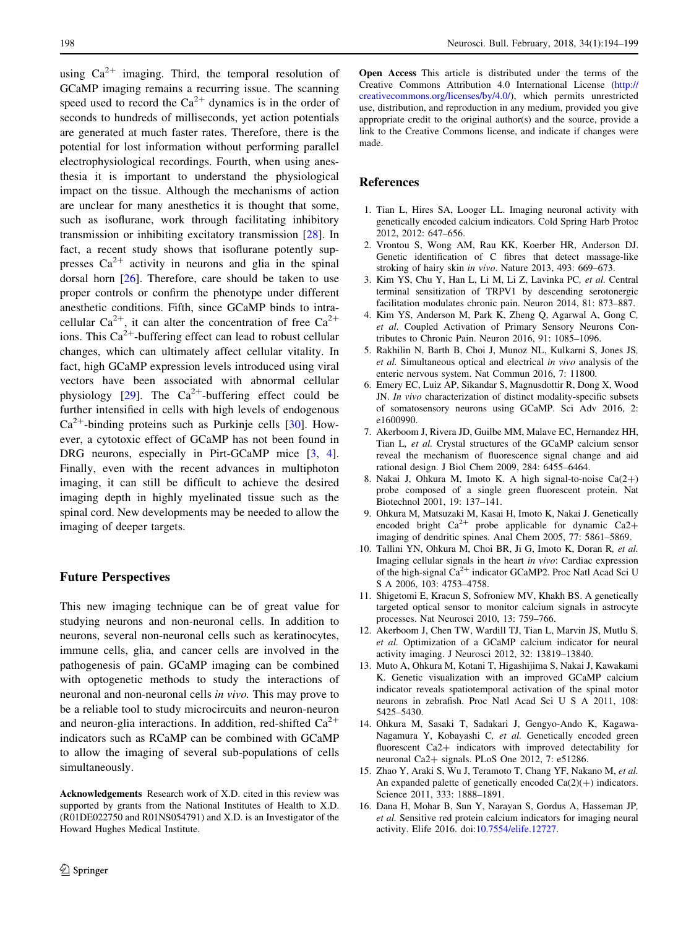<span id="page-4-0"></span>using  $Ca^{2+}$  imaging. Third, the temporal resolution of GCaMP imaging remains a recurring issue. The scanning speed used to record the  $Ca^{2+}$  dynamics is in the order of seconds to hundreds of milliseconds, yet action potentials are generated at much faster rates. Therefore, there is the potential for lost information without performing parallel electrophysiological recordings. Fourth, when using anesthesia it is important to understand the physiological impact on the tissue. Although the mechanisms of action are unclear for many anesthetics it is thought that some, such as isoflurane, work through facilitating inhibitory transmission or inhibiting excitatory transmission [\[28](#page-5-0)]. In fact, a recent study shows that isoflurane potently suppresses  $Ca^{2+}$  activity in neurons and glia in the spinal dorsal horn [[26\]](#page-5-0). Therefore, care should be taken to use proper controls or confirm the phenotype under different anesthetic conditions. Fifth, since GCaMP binds to intracellular  $Ca^{2+}$ , it can alter the concentration of free  $Ca^{2+}$ ions. This  $Ca^{2+}$ -buffering effect can lead to robust cellular changes, which can ultimately affect cellular vitality. In fact, high GCaMP expression levels introduced using viral vectors have been associated with abnormal cellular physiology [[29\]](#page-5-0). The  $Ca^{2+}$ -buffering effect could be further intensified in cells with high levels of endogenous  $Ca^{2+}$ -binding proteins such as Purkinje cells [\[30](#page-5-0)]. However, a cytotoxic effect of GCaMP has not been found in DRG neurons, especially in Pirt-GCaMP mice [3, 4]. Finally, even with the recent advances in multiphoton imaging, it can still be difficult to achieve the desired imaging depth in highly myelinated tissue such as the spinal cord. New developments may be needed to allow the imaging of deeper targets.

#### Future Perspectives

This new imaging technique can be of great value for studying neurons and non-neuronal cells. In addition to neurons, several non-neuronal cells such as keratinocytes, immune cells, glia, and cancer cells are involved in the pathogenesis of pain. GCaMP imaging can be combined with optogenetic methods to study the interactions of neuronal and non-neuronal cells in vivo. This may prove to be a reliable tool to study microcircuits and neuron-neuron and neuron-glia interactions. In addition, red-shifted  $Ca^{2+}$ indicators such as RCaMP can be combined with GCaMP to allow the imaging of several sub-populations of cells simultaneously.

Acknowledgements Research work of X.D. cited in this review was supported by grants from the National Institutes of Health to X.D. (R01DE022750 and R01NS054791) and X.D. is an Investigator of the Howard Hughes Medical Institute.

Open Access This article is distributed under the terms of the Creative Commons Attribution 4.0 International License ([http://](http://creativecommons.org/licenses/by/4.0/) [creativecommons.org/licenses/by/4.0/](http://creativecommons.org/licenses/by/4.0/)), which permits unrestricted use, distribution, and reproduction in any medium, provided you give appropriate credit to the original author(s) and the source, provide a link to the Creative Commons license, and indicate if changes were made.

#### References

- 1. Tian L, Hires SA, Looger LL. Imaging neuronal activity with genetically encoded calcium indicators. Cold Spring Harb Protoc 2012, 2012: 647–656.
- 2. Vrontou S, Wong AM, Rau KK, Koerber HR, Anderson DJ. Genetic identification of C fibres that detect massage-like stroking of hairy skin in vivo. Nature 2013, 493: 669–673.
- 3. Kim YS, Chu Y, Han L, Li M, Li Z, Lavinka PC, et al. Central terminal sensitization of TRPV1 by descending serotonergic facilitation modulates chronic pain. Neuron 2014, 81: 873–887.
- 4. Kim YS, Anderson M, Park K, Zheng Q, Agarwal A, Gong C, et al. Coupled Activation of Primary Sensory Neurons Contributes to Chronic Pain. Neuron 2016, 91: 1085–1096.
- 5. Rakhilin N, Barth B, Choi J, Munoz NL, Kulkarni S, Jones JS, et al. Simultaneous optical and electrical in vivo analysis of the enteric nervous system. Nat Commun 2016, 7: 11800.
- 6. Emery EC, Luiz AP, Sikandar S, Magnusdottir R, Dong X, Wood JN. In vivo characterization of distinct modality-specific subsets of somatosensory neurons using GCaMP. Sci Adv 2016, 2: e1600990.
- 7. Akerboom J, Rivera JD, Guilbe MM, Malave EC, Hernandez HH, Tian L, et al. Crystal structures of the GCaMP calcium sensor reveal the mechanism of fluorescence signal change and aid rational design. J Biol Chem 2009, 284: 6455–6464.
- 8. Nakai J, Ohkura M, Imoto K. A high signal-to-noise  $Ca(2+)$ probe composed of a single green fluorescent protein. Nat Biotechnol 2001, 19: 137–141.
- 9. Ohkura M, Matsuzaki M, Kasai H, Imoto K, Nakai J. Genetically encoded bright  $Ca^{2+}$  probe applicable for dynamic  $Ca2+$ imaging of dendritic spines. Anal Chem 2005, 77: 5861–5869.
- 10. Tallini YN, Ohkura M, Choi BR, Ji G, Imoto K, Doran R, et al. Imaging cellular signals in the heart in vivo: Cardiac expression of the high-signal  $Ca^{2+}$  indicator GCaMP2. Proc Natl Acad Sci U S A 2006, 103: 4753–4758.
- 11. Shigetomi E, Kracun S, Sofroniew MV, Khakh BS. A genetically targeted optical sensor to monitor calcium signals in astrocyte processes. Nat Neurosci 2010, 13: 759–766.
- 12. Akerboom J, Chen TW, Wardill TJ, Tian L, Marvin JS, Mutlu S, et al. Optimization of a GCaMP calcium indicator for neural activity imaging. J Neurosci 2012, 32: 13819–13840.
- 13. Muto A, Ohkura M, Kotani T, Higashijima S, Nakai J, Kawakami K. Genetic visualization with an improved GCaMP calcium indicator reveals spatiotemporal activation of the spinal motor neurons in zebrafish. Proc Natl Acad Sci U S A 2011, 108: 5425–5430.
- 14. Ohkura M, Sasaki T, Sadakari J, Gengyo-Ando K, Kagawa-Nagamura Y, Kobayashi C, et al. Genetically encoded green fluorescent Ca2+ indicators with improved detectability for neuronal Ca2+ signals. PLoS One 2012, 7: e51286.
- 15. Zhao Y, Araki S, Wu J, Teramoto T, Chang YF, Nakano M, et al. An expanded palette of genetically encoded  $Ca(2)(+)$  indicators. Science 2011, 333: 1888–1891.
- 16. Dana H, Mohar B, Sun Y, Narayan S, Gordus A, Hasseman JP, et al. Sensitive red protein calcium indicators for imaging neural activity. Elife 2016. doi:[10.7554/elife.12727](http://dx.doi.org/10.7554/elife.12727).